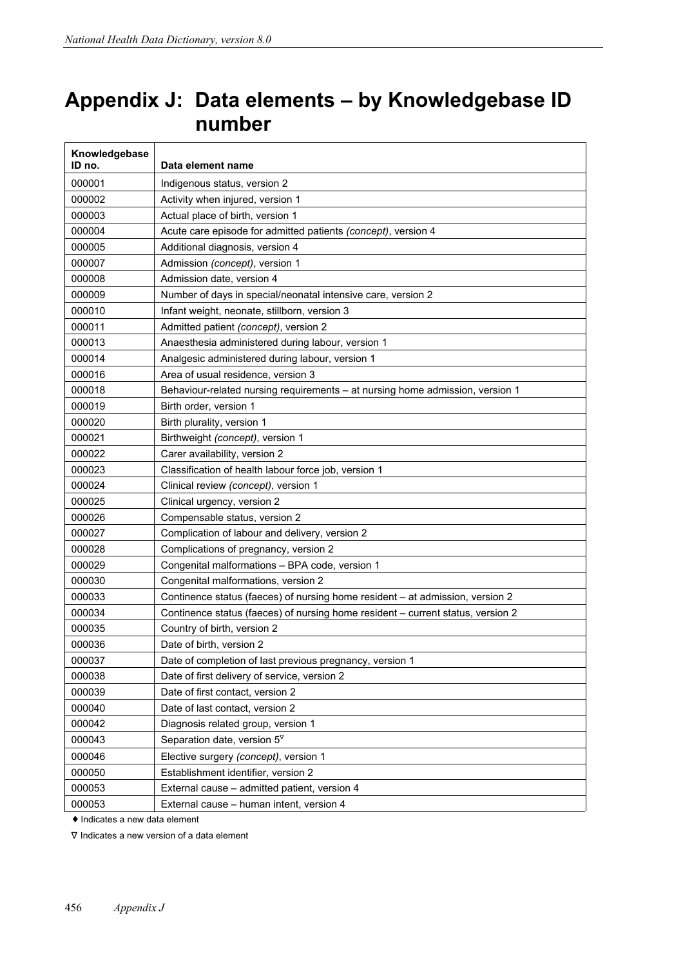## **Appendix J: Data elements – by Knowledgebase ID number**

| Knowledgebase<br>ID no. | Data element name                                                               |
|-------------------------|---------------------------------------------------------------------------------|
| 000001                  | Indigenous status, version 2                                                    |
| 000002                  | Activity when injured, version 1                                                |
| 000003                  | Actual place of birth, version 1                                                |
| 000004                  | Acute care episode for admitted patients (concept), version 4                   |
| 000005                  | Additional diagnosis, version 4                                                 |
| 000007                  | Admission (concept), version 1                                                  |
| 000008                  | Admission date, version 4                                                       |
| 000009                  | Number of days in special/neonatal intensive care, version 2                    |
| 000010                  | Infant weight, neonate, stillborn, version 3                                    |
| 000011                  | Admitted patient (concept), version 2                                           |
| 000013                  | Anaesthesia administered during labour, version 1                               |
| 000014                  | Analgesic administered during labour, version 1                                 |
| 000016                  | Area of usual residence, version 3                                              |
| 000018                  | Behaviour-related nursing requirements - at nursing home admission, version 1   |
| 000019                  | Birth order, version 1                                                          |
| 000020                  | Birth plurality, version 1                                                      |
| 000021                  | Birthweight (concept), version 1                                                |
| 000022                  | Carer availability, version 2                                                   |
| 000023                  | Classification of health labour force job, version 1                            |
| 000024                  | Clinical review (concept), version 1                                            |
| 000025                  | Clinical urgency, version 2                                                     |
| 000026                  | Compensable status, version 2                                                   |
| 000027                  | Complication of labour and delivery, version 2                                  |
| 000028                  | Complications of pregnancy, version 2                                           |
| 000029                  | Congenital malformations - BPA code, version 1                                  |
| 000030                  | Congenital malformations, version 2                                             |
| 000033                  | Continence status (faeces) of nursing home resident - at admission, version 2   |
| 000034                  | Continence status (faeces) of nursing home resident - current status, version 2 |
| 000035                  | Country of birth, version 2                                                     |
| 000036                  | Date of birth, version 2                                                        |
| 000037                  | Date of completion of last previous pregnancy, version 1                        |
| 000038                  | Date of first delivery of service, version 2                                    |
| 000039                  | Date of first contact, version 2                                                |
| 000040                  | Date of last contact, version 2                                                 |
| 000042                  | Diagnosis related group, version 1                                              |
| 000043                  | Separation date, version $5^{\nabla}$                                           |
| 000046                  | Elective surgery (concept), version 1                                           |
| 000050                  | Establishment identifier, version 2                                             |
| 000053                  | External cause - admitted patient, version 4                                    |
| 000053                  | External cause - human intent, version 4                                        |

♦ Indicates a new data element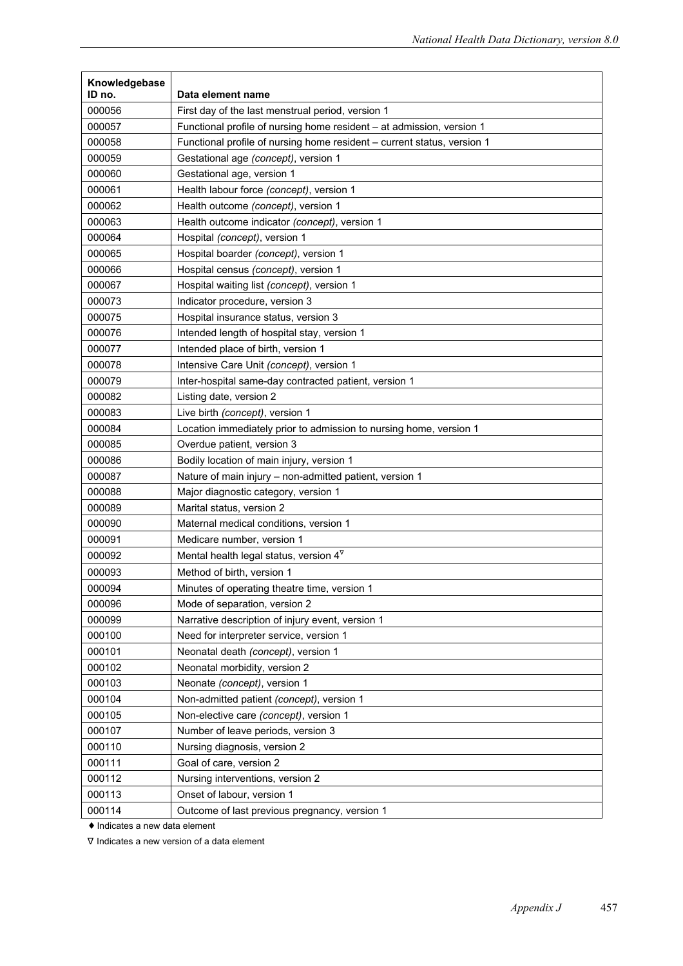| Knowledgebase    |                                                                         |
|------------------|-------------------------------------------------------------------------|
| ID no.           | Data element name                                                       |
| 000056<br>000057 | First day of the last menstrual period, version 1                       |
|                  | Functional profile of nursing home resident - at admission, version 1   |
| 000058           | Functional profile of nursing home resident - current status, version 1 |
| 000059           | Gestational age (concept), version 1                                    |
| 000060           | Gestational age, version 1                                              |
| 000061           | Health labour force (concept), version 1                                |
| 000062           | Health outcome (concept), version 1                                     |
| 000063           | Health outcome indicator (concept), version 1                           |
| 000064           | Hospital (concept), version 1                                           |
| 000065           | Hospital boarder (concept), version 1                                   |
| 000066           | Hospital census (concept), version 1                                    |
| 000067           | Hospital waiting list (concept), version 1                              |
| 000073           | Indicator procedure, version 3                                          |
| 000075           | Hospital insurance status, version 3                                    |
| 000076           | Intended length of hospital stay, version 1                             |
| 000077           | Intended place of birth, version 1                                      |
| 000078           | Intensive Care Unit (concept), version 1                                |
| 000079           | Inter-hospital same-day contracted patient, version 1                   |
| 000082           | Listing date, version 2                                                 |
| 000083           | Live birth (concept), version 1                                         |
| 000084           | Location immediately prior to admission to nursing home, version 1      |
| 000085           | Overdue patient, version 3                                              |
| 000086           | Bodily location of main injury, version 1                               |
| 000087           | Nature of main injury - non-admitted patient, version 1                 |
| 000088           | Major diagnostic category, version 1                                    |
| 000089           | Marital status, version 2                                               |
| 000090           | Maternal medical conditions, version 1                                  |
| 000091           | Medicare number, version 1                                              |
| 000092           | Mental health legal status, version $4^{\nabla}$                        |
| 000093           | Method of birth, version 1                                              |
| 000094           | Minutes of operating theatre time, version 1                            |
| 000096           | Mode of separation, version 2                                           |
| 000099           | Narrative description of injury event, version 1                        |
| 000100           | Need for interpreter service, version 1                                 |
| 000101           | Neonatal death (concept), version 1                                     |
| 000102           | Neonatal morbidity, version 2                                           |
| 000103           | Neonate (concept), version 1                                            |
| 000104           | Non-admitted patient (concept), version 1                               |
| 000105           | Non-elective care (concept), version 1                                  |
| 000107           | Number of leave periods, version 3                                      |
| 000110           | Nursing diagnosis, version 2                                            |
| 000111           | Goal of care, version 2                                                 |
| 000112           | Nursing interventions, version 2                                        |
| 000113           | Onset of labour, version 1                                              |
| 000114           | Outcome of last previous pregnancy, version 1                           |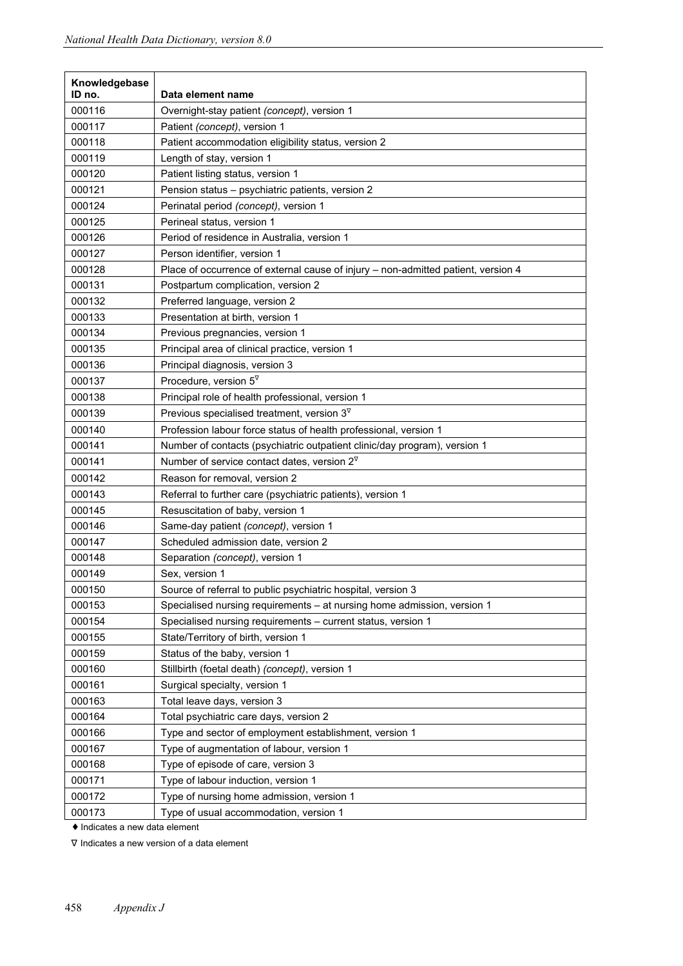| Knowledgebase<br>ID no. | Data element name                                                                 |
|-------------------------|-----------------------------------------------------------------------------------|
| 000116                  | Overnight-stay patient (concept), version 1                                       |
| 000117                  | Patient (concept), version 1                                                      |
| 000118                  | Patient accommodation eligibility status, version 2                               |
| 000119                  | Length of stay, version 1                                                         |
| 000120                  | Patient listing status, version 1                                                 |
| 000121                  | Pension status - psychiatric patients, version 2                                  |
| 000124                  | Perinatal period (concept), version 1                                             |
| 000125                  | Perineal status, version 1                                                        |
| 000126                  | Period of residence in Australia, version 1                                       |
| 000127                  | Person identifier, version 1                                                      |
| 000128                  | Place of occurrence of external cause of injury - non-admitted patient, version 4 |
| 000131                  | Postpartum complication, version 2                                                |
| 000132                  | Preferred language, version 2                                                     |
| 000133                  | Presentation at birth, version 1                                                  |
| 000134                  | Previous pregnancies, version 1                                                   |
| 000135                  | Principal area of clinical practice, version 1                                    |
| 000136                  | Principal diagnosis, version 3                                                    |
| 000137                  | Procedure, version $5^{\nabla}$                                                   |
| 000138                  | Principal role of health professional, version 1                                  |
| 000139                  | Previous specialised treatment, version $3^{\nabla}$                              |
| 000140                  | Profession labour force status of health professional, version 1                  |
| 000141                  | Number of contacts (psychiatric outpatient clinic/day program), version 1         |
| 000141                  | Number of service contact dates, version $2^{\nabla}$                             |
| 000142                  | Reason for removal, version 2                                                     |
| 000143                  | Referral to further care (psychiatric patients), version 1                        |
| 000145                  | Resuscitation of baby, version 1                                                  |
| 000146                  | Same-day patient (concept), version 1                                             |
| 000147                  | Scheduled admission date, version 2                                               |
| 000148                  | Separation (concept), version 1                                                   |
| 000149                  | Sex, version 1                                                                    |
| 000150                  | Source of referral to public psychiatric hospital, version 3                      |
| 000153                  | Specialised nursing requirements - at nursing home admission, version 1           |
| 000154                  | Specialised nursing requirements - current status, version 1                      |
| 000155                  | State/Territory of birth, version 1                                               |
| 000159                  | Status of the baby, version 1                                                     |
| 000160                  | Stillbirth (foetal death) (concept), version 1                                    |
| 000161                  | Surgical specialty, version 1                                                     |
| 000163                  | Total leave days, version 3                                                       |
| 000164                  | Total psychiatric care days, version 2                                            |
| 000166                  | Type and sector of employment establishment, version 1                            |
| 000167                  | Type of augmentation of labour, version 1                                         |
| 000168                  | Type of episode of care, version 3                                                |
| 000171                  | Type of labour induction, version 1                                               |
| 000172                  | Type of nursing home admission, version 1                                         |
| 000173                  | Type of usual accommodation, version 1                                            |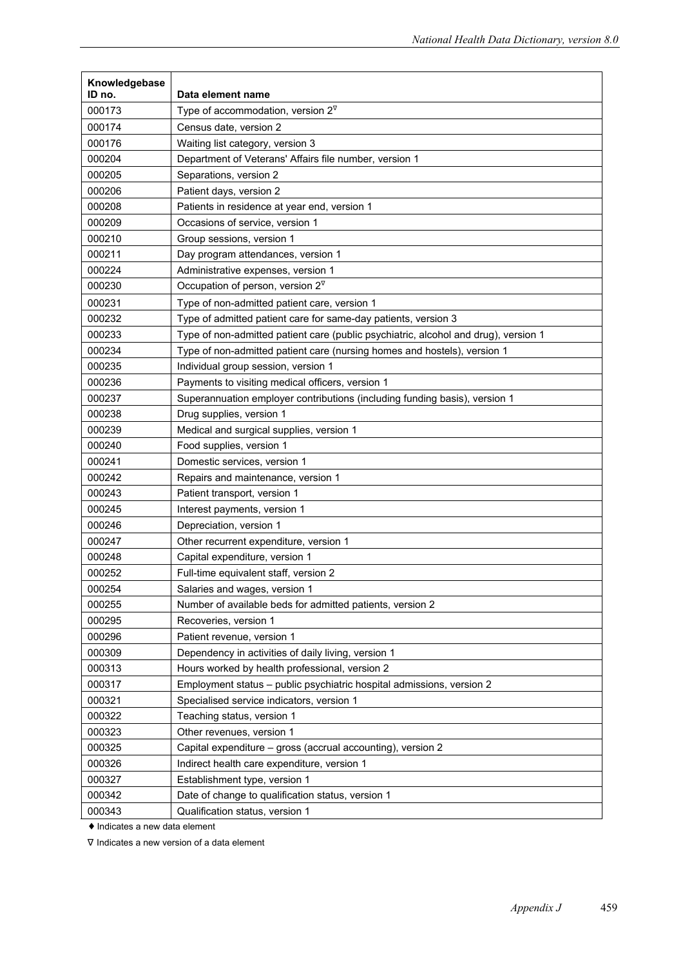| Knowledgebase    |                                                                                     |
|------------------|-------------------------------------------------------------------------------------|
| ID no.<br>000173 | Data element name<br>Type of accommodation, version $2^{\nabla}$                    |
| 000174           | Census date, version 2                                                              |
| 000176           |                                                                                     |
|                  | Waiting list category, version 3                                                    |
| 000204<br>000205 | Department of Veterans' Affairs file number, version 1<br>Separations, version 2    |
| 000206           | Patient days, version 2                                                             |
| 000208           | Patients in residence at year end, version 1                                        |
| 000209           | Occasions of service, version 1                                                     |
| 000210           | Group sessions, version 1                                                           |
| 000211           | Day program attendances, version 1                                                  |
| 000224           | Administrative expenses, version 1                                                  |
| 000230           | Occupation of person, version $2^{\nabla}$                                          |
| 000231           | Type of non-admitted patient care, version 1                                        |
| 000232           | Type of admitted patient care for same-day patients, version 3                      |
| 000233           | Type of non-admitted patient care (public psychiatric, alcohol and drug), version 1 |
| 000234           | Type of non-admitted patient care (nursing homes and hostels), version 1            |
| 000235           | Individual group session, version 1                                                 |
| 000236           | Payments to visiting medical officers, version 1                                    |
| 000237           | Superannuation employer contributions (including funding basis), version 1          |
| 000238           | Drug supplies, version 1                                                            |
| 000239           | Medical and surgical supplies, version 1                                            |
| 000240           | Food supplies, version 1                                                            |
| 000241           | Domestic services, version 1                                                        |
| 000242           | Repairs and maintenance, version 1                                                  |
| 000243           | Patient transport, version 1                                                        |
| 000245           | Interest payments, version 1                                                        |
| 000246           | Depreciation, version 1                                                             |
| 000247           | Other recurrent expenditure, version 1                                              |
| 000248           | Capital expenditure, version 1                                                      |
| 000252           | Full-time equivalent staff, version 2                                               |
| 000254           | Salaries and wages, version 1                                                       |
| 000255           | Number of available beds for admitted patients, version 2                           |
| 000295           | Recoveries, version 1                                                               |
| 000296           | Patient revenue, version 1                                                          |
| 000309           | Dependency in activities of daily living, version 1                                 |
| 000313           | Hours worked by health professional, version 2                                      |
| 000317           | Employment status - public psychiatric hospital admissions, version 2               |
| 000321           | Specialised service indicators, version 1                                           |
| 000322           | Teaching status, version 1                                                          |
| 000323           | Other revenues, version 1                                                           |
| 000325           | Capital expenditure - gross (accrual accounting), version 2                         |
| 000326           | Indirect health care expenditure, version 1                                         |
| 000327           | Establishment type, version 1                                                       |
| 000342           | Date of change to qualification status, version 1                                   |
| 000343           | Qualification status, version 1                                                     |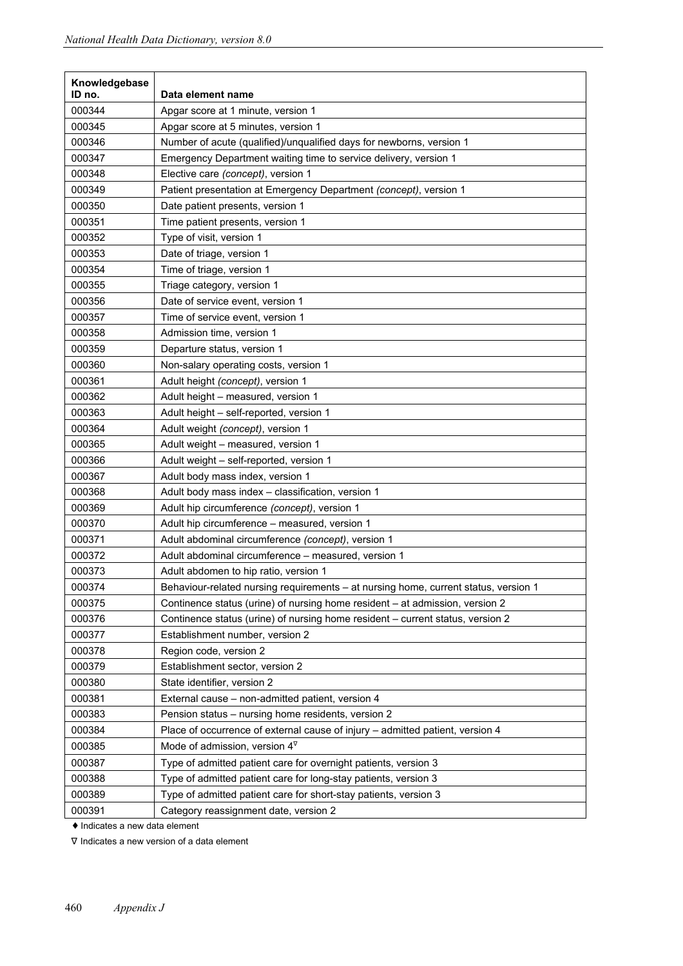| Knowledgebase |                                                                                     |
|---------------|-------------------------------------------------------------------------------------|
| ID no.        | Data element name                                                                   |
| 000344        | Apgar score at 1 minute, version 1                                                  |
| 000345        | Apgar score at 5 minutes, version 1                                                 |
| 000346        | Number of acute (qualified)/unqualified days for newborns, version 1                |
| 000347        | Emergency Department waiting time to service delivery, version 1                    |
| 000348        | Elective care (concept), version 1                                                  |
| 000349        | Patient presentation at Emergency Department (concept), version 1                   |
| 000350        | Date patient presents, version 1                                                    |
| 000351        | Time patient presents, version 1                                                    |
| 000352        | Type of visit, version 1                                                            |
| 000353        | Date of triage, version 1                                                           |
| 000354        | Time of triage, version 1                                                           |
| 000355        | Triage category, version 1                                                          |
| 000356        | Date of service event, version 1                                                    |
| 000357        | Time of service event, version 1                                                    |
| 000358        | Admission time, version 1                                                           |
| 000359        | Departure status, version 1                                                         |
| 000360        | Non-salary operating costs, version 1                                               |
| 000361        | Adult height (concept), version 1                                                   |
| 000362        | Adult height - measured, version 1                                                  |
| 000363        | Adult height - self-reported, version 1                                             |
| 000364        | Adult weight (concept), version 1                                                   |
| 000365        | Adult weight - measured, version 1                                                  |
| 000366        | Adult weight - self-reported, version 1                                             |
| 000367        | Adult body mass index, version 1                                                    |
| 000368        | Adult body mass index - classification, version 1                                   |
| 000369        | Adult hip circumference (concept), version 1                                        |
| 000370        | Adult hip circumference - measured, version 1                                       |
| 000371        | Adult abdominal circumference (concept), version 1                                  |
| 000372        | Adult abdominal circumference - measured, version 1                                 |
| 000373        | Adult abdomen to hip ratio, version 1                                               |
| 000374        | Behaviour-related nursing requirements - at nursing home, current status, version 1 |
| 000375        | Continence status (urine) of nursing home resident - at admission, version 2        |
| 000376        | Continence status (urine) of nursing home resident - current status, version 2      |
| 000377        | Establishment number, version 2                                                     |
| 000378        | Region code, version 2                                                              |
| 000379        | Establishment sector, version 2                                                     |
| 000380        | State identifier, version 2                                                         |
| 000381        | External cause - non-admitted patient, version 4                                    |
| 000383        | Pension status - nursing home residents, version 2                                  |
| 000384        | Place of occurrence of external cause of injury - admitted patient, version 4       |
|               | Mode of admission, version $4^{\nabla}$                                             |
| 000385        |                                                                                     |
| 000387        | Type of admitted patient care for overnight patients, version 3                     |
| 000388        | Type of admitted patient care for long-stay patients, version 3                     |
| 000389        | Type of admitted patient care for short-stay patients, version 3                    |
| 000391        | Category reassignment date, version 2                                               |